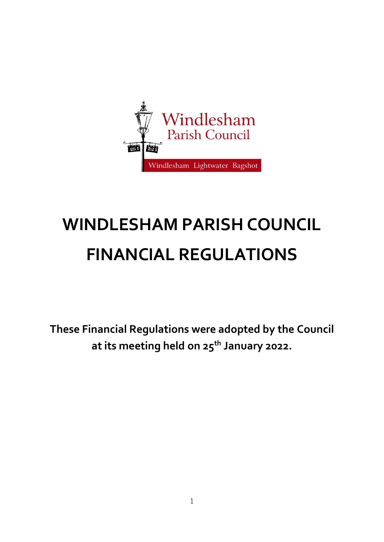

# **WINDLESHAM PARISH COUNCIL FINANCIAL REGULATIONS**

**These Financial Regulations were adopted by the Council at its meeting held on 25th January 2022.**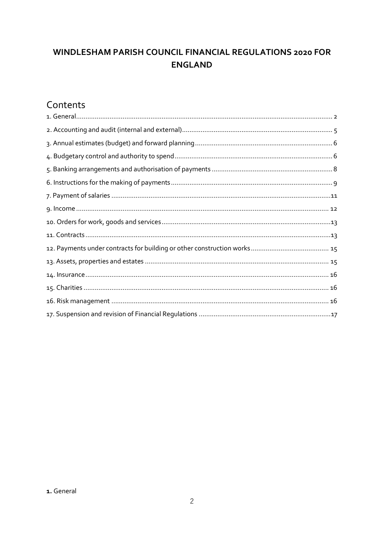# WINDLESHAM PARISH COUNCIL FINANCIAL REGULATIONS 2020 FOR **ENGLAND**

# Contents

<span id="page-1-0"></span>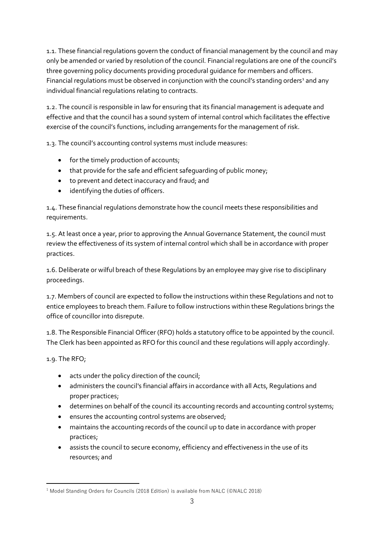1.1. These financial regulations govern the conduct of financial management by the council and may only be amended or varied by resolution of the council. Financial regulations are one of the council's three governing policy documents providing procedural guidance for members and officers. Financial regulations must be observed in conjunction with the council's standing orders<sup>1</sup> and any individual financial regulations relating to contracts.

1.2. The council is responsible in law for ensuring that its financial management is adequate and effective and that the council has a sound system of internal control which facilitates the effective exercise of the council's functions, including arrangements for the management of risk.

1.3. The council's accounting control systems must include measures:

- for the timely production of accounts;
- that provide for the safe and efficient safequarding of public money;
- to prevent and detect inaccuracy and fraud; and
- identifying the duties of officers.

1.4. These financial regulations demonstrate how the council meets these responsibilities and requirements.

1.5. At least once a year, prior to approving the Annual Governance Statement, the council must review the effectiveness of its system of internal control which shall be in accordance with proper practices.

1.6. Deliberate or wilful breach of these Regulations by an employee may give rise to disciplinary proceedings.

1.7. Members of council are expected to follow the instructions within these Regulations and not to entice employees to breach them. Failure to follow instructions within these Regulations brings the office of councillor into disrepute.

1.8. The Responsible Financial Officer (RFO) holds a statutory office to be appointed by the council. The Clerk has been appointed as RFO for this council and these regulations will apply accordingly.

1.9. The RFO;

- acts under the policy direction of the council;
- administers the council's financial affairs in accordance with all Acts, Regulations and proper practices;
- determines on behalf of the council its accounting records and accounting control systems;
- ensures the accounting control systems are observed;
- maintains the accounting records of the council up to date in accordance with proper practices;
- assists the council to secure economy, efficiency and effectiveness in the use of its resources; and

<sup>1</sup> Model Standing Orders for Councils (2018 Edition) is available from NALC (©NALC 2018)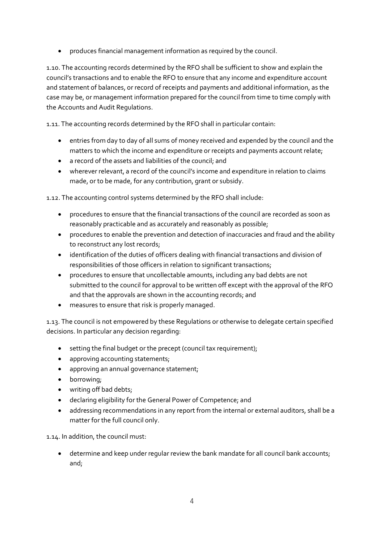• produces financial management information as required by the council.

1.10. The accounting records determined by the RFO shall be sufficient to show and explain the council's transactions and to enable the RFO to ensure that any income and expenditure account and statement of balances, or record of receipts and payments and additional information, as the case may be, or management information prepared for the council from time to time comply with the Accounts and Audit Regulations.

1.11. The accounting records determined by the RFO shall in particular contain:

- entries from day to day of all sums of money received and expended by the council and the matters to which the income and expenditure or receipts and payments account relate;
- a record of the assets and liabilities of the council; and
- wherever relevant, a record of the council's income and expenditure in relation to claims made, or to be made, for any contribution, grant or subsidy.

1.12. The accounting control systems determined by the RFO shall include:

- procedures to ensure that the financial transactions of the council are recorded as soon as reasonably practicable and as accurately and reasonably as possible;
- procedures to enable the prevention and detection of inaccuracies and fraud and the ability to reconstruct any lost records;
- identification of the duties of officers dealing with financial transactions and division of responsibilities of those officers in relation to significant transactions;
- procedures to ensure that uncollectable amounts, including any bad debts are not submitted to the council for approval to be written off except with the approval of the RFO and that the approvals are shown in the accounting records; and
- measures to ensure that risk is properly managed.

1.13. The council is not empowered by these Regulations or otherwise to delegate certain specified decisions. In particular any decision regarding:

- setting the final budget or the precept (council tax requirement);
- approving accounting statements;
- approving an annual governance statement;
- borrowing;
- writing off bad debts;
- declaring eligibility for the General Power of Competence; and
- addressing recommendations in any report from the internal or external auditors, shall be a matter for the full council only.

1.14. In addition, the council must:

• determine and keep under regular review the bank mandate for all council bank accounts; and;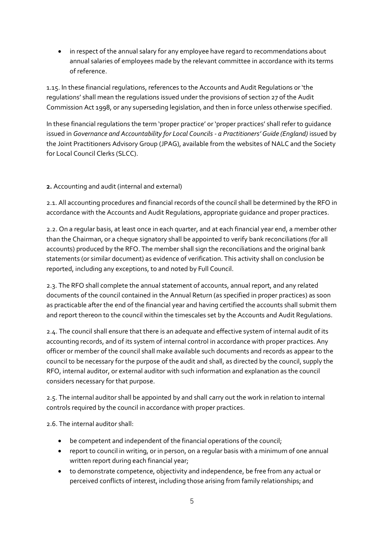• in respect of the annual salary for any employee have regard to recommendations about annual salaries of employees made by the relevant committee in accordance with its terms of reference.

1.15. In these financial regulations, references to the Accounts and Audit Regulations or 'the regulations' shall mean the regulations issued under the provisions of section 27 of the Audit Commission Act 1998, or any superseding legislation, and then in force unless otherwise specified.

In these financial regulations the term 'proper practice' or 'proper practices' shall refer to guidance issued in *Governance and Accountability for Local Councils - a Practitioners' Guide (England)* issued by the Joint Practitioners Advisory Group (JPAG), available from the websites of NALC and the Society for Local Council Clerks (SLCC).

#### <span id="page-4-0"></span>**2.** Accounting and audit (internal and external)

2.1. All accounting procedures and financial records of the council shall be determined by the RFO in accordance with the Accounts and Audit Regulations, appropriate guidance and proper practices.

2.2. On a regular basis, at least once in each quarter, and at each financial year end, a member other than the Chairman, or a cheque signatory shall be appointed to verify bank reconciliations (for all accounts) produced by the RFO. The member shall sign the reconciliations and the original bank statements (or similar document) as evidence of verification. This activity shall on conclusion be reported, including any exceptions, to and noted by Full Council.

2.3. The RFO shall complete the annual statement of accounts, annual report, and any related documents of the council contained in the Annual Return (as specified in proper practices) as soon as practicable after the end of the financial year and having certified the accounts shall submit them and report thereon to the council within the timescales set by the Accounts and Audit Regulations.

2.4. The council shall ensure that there is an adequate and effective system of internal audit of its accounting records, and of its system of internal control in accordance with proper practices. Any officer or member of the council shall make available such documents and records as appear to the council to be necessary for the purpose of the audit and shall, as directed by the council, supply the RFO, internal auditor, or external auditor with such information and explanation as the council considers necessary for that purpose.

2.5. The internal auditor shall be appointed by and shall carry out the work in relation to internal controls required by the council in accordance with proper practices.

2.6. The internal auditor shall:

- be competent and independent of the financial operations of the council;
- report to council in writing, or in person, on a regular basis with a minimum of one annual written report during each financial year;
- to demonstrate competence, objectivity and independence, be free from any actual or perceived conflicts of interest, including those arising from family relationships; and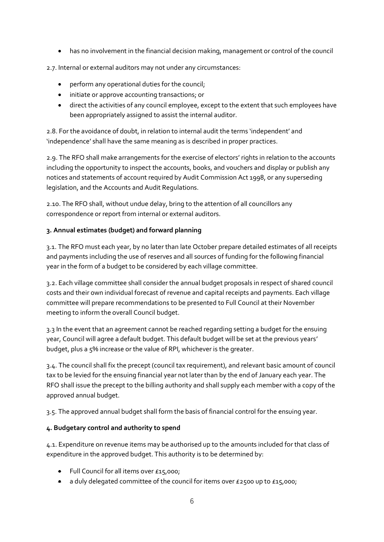• has no involvement in the financial decision making, management or control of the council

2.7. Internal or external auditors may not under any circumstances:

- perform any operational duties for the council;
- initiate or approve accounting transactions; or
- direct the activities of any council employee, except to the extent that such employees have been appropriately assigned to assist the internal auditor.

2.8. For the avoidance of doubt, in relation to internal audit the terms 'independent' and 'independence' shall have the same meaning as is described in proper practices.

2.9. The RFO shall make arrangements for the exercise of electors' rights in relation to the accounts including the opportunity to inspect the accounts, books, and vouchers and display or publish any notices and statements of account required by Audit Commission Act 1998, or any superseding legislation, and the Accounts and Audit Regulations.

2.10. The RFO shall, without undue delay, bring to the attention of all councillors any correspondence or report from internal or external auditors.

#### <span id="page-5-0"></span>**3. Annual estimates (budget) and forward planning**

3.1. The RFO must each year, by no later than late October prepare detailed estimates of all receipts and payments including the use of reserves and all sources of funding for the following financial year in the form of a budget to be considered by each village committee.

3.2. Each village committee shall consider the annual budget proposals in respect of shared council costs and their own individual forecast of revenue and capital receipts and payments. Each village committee will prepare recommendations to be presented to Full Council at their November meeting to inform the overall Council budget.

3.3 In the event that an agreement cannot be reached regarding setting a budget for the ensuing year, Council will agree a default budget. This default budget will be set at the previous years' budget, plus a 5% increase or the value of RPI, whichever is the greater.

3.4. The council shall fix the precept (council tax requirement), and relevant basic amount of council tax to be levied for the ensuing financial year not later than by the end of January each year. The RFO shall issue the precept to the billing authority and shall supply each member with a copy of the approved annual budget.

3.5. The approved annual budget shall form the basis of financial control for the ensuing year.

# <span id="page-5-1"></span>**4. Budgetary control and authority to spend**

4.1. Expenditure on revenue items may be authorised up to the amounts included for that class of expenditure in the approved budget. This authority is to be determined by:

- Full Council for all items over £15,000;
- a duly delegated committee of the council for items over £2500 up to £15,000;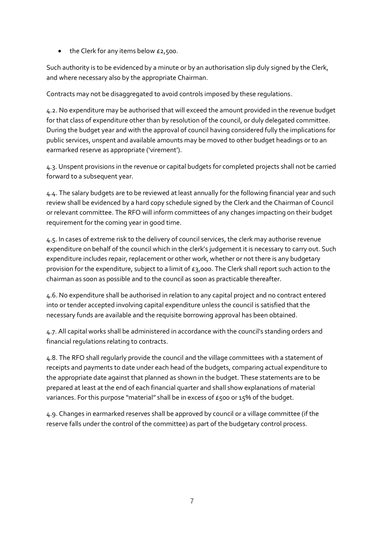• the Clerk for any items below £2,500.

Such authority is to be evidenced by a minute or by an authorisation slip duly signed by the Clerk, and where necessary also by the appropriate Chairman.

Contracts may not be disaggregated to avoid controls imposed by these regulations.

4.2. No expenditure may be authorised that will exceed the amount provided in the revenue budget for that class of expenditure other than by resolution of the council, or duly delegated committee. During the budget year and with the approval of council having considered fully the implications for public services, unspent and available amounts may be moved to other budget headings or to an earmarked reserve as appropriate ('virement').

4.3. Unspent provisions in the revenue or capital budgets for completed projects shall not be carried forward to a subsequent year.

4.4. The salary budgets are to be reviewed at least annually for the following financial year and such review shall be evidenced by a hard copy schedule signed by the Clerk and the Chairman of Council or relevant committee. The RFO will inform committees of any changes impacting on their budget requirement for the coming year in good time.

4.5. In cases of extreme risk to the delivery of council services, the clerk may authorise revenue expenditure on behalf of the council which in the clerk's judgement it is necessary to carry out. Such expenditure includes repair, replacement or other work, whether or not there is any budgetary provision for the expenditure, subject to a limit of £3,000. The Clerk shall report such action to the chairman as soon as possible and to the council as soon as practicable thereafter.

4.6. No expenditure shall be authorised in relation to any capital project and no contract entered into or tender accepted involving capital expenditure unless the council is satisfied that the necessary funds are available and the requisite borrowing approval has been obtained.

4.7. All capital works shall be administered in accordance with the council's standing orders and financial regulations relating to contracts.

4.8. The RFO shall regularly provide the council and the village committees with a statement of receipts and payments to date under each head of the budgets, comparing actual expenditure to the appropriate date against that planned as shown in the budget. These statements are to be prepared at least at the end of each financial quarter and shall show explanations of material variances. For this purpose "material" shall be in excess of £500 or 15% of the budget.

4.9. Changes in earmarked reserves shall be approved by council or a village committee (if the reserve falls under the control of the committee) as part of the budgetary control process.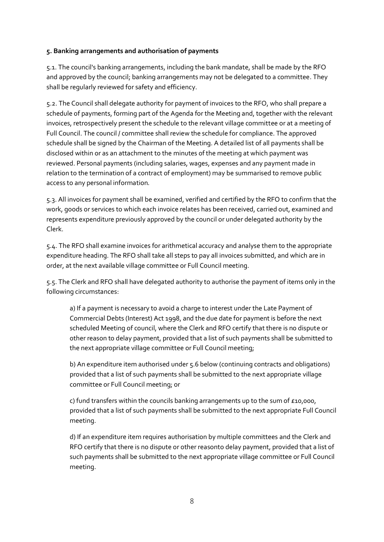#### <span id="page-7-0"></span>**5. Banking arrangements and authorisation of payments**

5.1. The council's banking arrangements, including the bank mandate, shall be made by the RFO and approved by the council; banking arrangements may not be delegated to a committee. They shall be regularly reviewed for safety and efficiency.

5.2. The Council shall delegate authority for payment of invoices to the RFO, who shall prepare a schedule of payments, forming part of the Agenda for the Meeting and, together with the relevant invoices, retrospectively present the schedule to the relevant village committee or at a meeting of Full Council. The council / committee shall review the schedule for compliance. The approved schedule shall be signed by the Chairman of the Meeting. A detailed list of all payments shall be disclosed within or as an attachment to the minutes of the meeting at which payment was reviewed. Personal payments (including salaries, wages, expenses and any payment made in relation to the termination of a contract of employment) may be summarised to remove public access to any personal information*.*

5.3. All invoices for payment shall be examined, verified and certified by the RFO to confirm that the work, goods or services to which each invoice relates has been received, carried out, examined and represents expenditure previously approved by the council or under delegated authority by the Clerk.

5.4. The RFO shall examine invoices for arithmetical accuracy and analyse them to the appropriate expenditure heading. The RFO shall take all steps to pay all invoices submitted, and which are in order, at the next available village committee or Full Council meeting.

5.5. The Clerk and RFO shall have delegated authority to authorise the payment of items only in the following circumstances:

a) If a payment is necessary to avoid a charge to interest under the Late Payment of Commercial Debts (Interest) Act 1998, and the due date for payment is before the next scheduled Meeting of council, where the Clerk and RFO certify that there is no dispute or other reason to delay payment, provided that a list of such payments shall be submitted to the next appropriate village committee or Full Council meeting;

b) An expenditure item authorised under 5.6 below (continuing contracts and obligations) provided that a list of such payments shall be submitted to the next appropriate village committee or Full Council meeting; or

c) fund transfers within the councils banking arrangements up to the sum of  $\epsilon$ 10,000, provided that a list of such payments shall be submitted to the next appropriate Full Council meeting.

d) If an expenditure item requires authorisation by multiple committees and the Clerk and RFO certify that there is no dispute or other reasonto delay payment, provided that a list of such payments shall be submitted to the next appropriate village committee or Full Council meeting.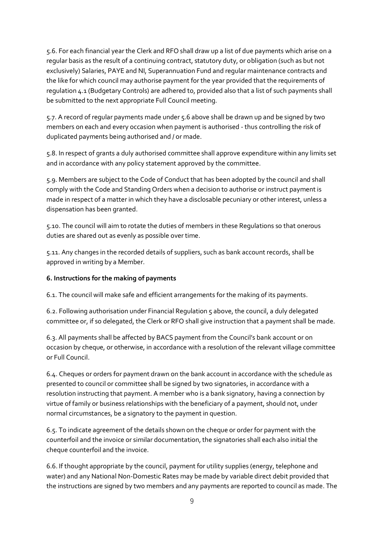5.6. For each financial year the Clerk and RFO shall draw up a list of due payments which arise on a regular basis as the result of a continuing contract, statutory duty, or obligation (such as but not exclusively) Salaries, PAYE and NI, Superannuation Fund and regular maintenance contracts and the like for which council may authorise payment for the year provided that the requirements of regulation 4.1 (Budgetary Controls) are adhered to, provided also that a list of such payments shall be submitted to the next appropriate Full Council meeting.

5.7. A record of regular payments made under 5.6 above shall be drawn up and be signed by two members on each and every occasion when payment is authorised - thus controlling the risk of duplicated payments being authorised and / or made.

5.8. In respect of grants a duly authorised committee shall approve expenditure within any limits set and in accordance with any policy statement approved by the committee.

5.9. Members are subject to the Code of Conduct that has been adopted by the council and shall comply with the Code and Standing Orders when a decision to authorise or instruct payment is made in respect of a matter in which they have a disclosable pecuniary or other interest, unless a dispensation has been granted.

5.10. The council will aim to rotate the duties of members in these Regulations so that onerous duties are shared out as evenly as possible over time.

5.11. Any changes in the recorded details of suppliers, such as bank account records, shall be approved in writing by a Member.

# <span id="page-8-0"></span>**6. Instructions for the making of payments**

6.1. The council will make safe and efficient arrangements for the making of its payments.

6.2. Following authorisation under Financial Regulation 5 above, the council, a duly delegated committee or, if so delegated, the Clerk or RFO shall give instruction that a payment shall be made.

6.3. All payments shall be affected by BACS payment from the Council's bank account or on occasion by cheque, or otherwise, in accordance with a resolution of the relevant village committee or Full Council.

6.4. Cheques or orders for payment drawn on the bank account in accordance with the schedule as presented to council or committee shall be signed by two signatories, in accordance with a resolution instructing that payment. A member who is a bank signatory, having a connection by virtue of family or business relationships with the beneficiary of a payment, should not, under normal circumstances, be a signatory to the payment in question.

6.5. To indicate agreement of the details shown on the cheque or order for payment with the counterfoil and the invoice or similar documentation, the signatories shall each also initial the cheque counterfoil and the invoice.

6.6. If thought appropriate by the council, payment for utility supplies (energy, telephone and water) and any National Non-Domestic Rates may be made by variable direct debit provided that the instructions are signed by two members and any payments are reported to council as made. The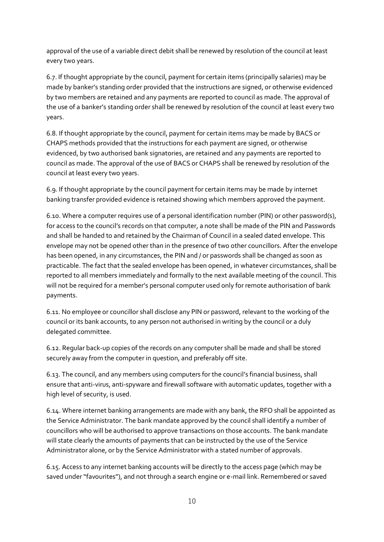approval of the use of a variable direct debit shall be renewed by resolution of the council at least every two years.

6.7. If thought appropriate by the council, payment for certain items (principally salaries) may be made by banker's standing order provided that the instructions are signed, or otherwise evidenced by two members are retained and any payments are reported to council as made. The approval of the use of a banker's standing order shall be renewed by resolution of the council at least every two years.

6.8. If thought appropriate by the council, payment for certain items may be made by BACS or CHAPS methods provided that the instructions for each payment are signed, or otherwise evidenced, by two authorised bank signatories, are retained and any payments are reported to council as made. The approval of the use of BACS or CHAPS shall be renewed by resolution of the council at least every two years.

6.9. If thought appropriate by the council payment for certain items may be made by internet banking transfer provided evidence is retained showing which members approved the payment.

6.10. Where a computer requires use of a personal identification number (PIN) or other password(s), for access to the council's records on that computer, a note shall be made of the PIN and Passwords and shall be handed to and retained by the Chairman of Council in a sealed dated envelope. This envelope may not be opened other than in the presence of two other councillors. After the envelope has been opened, in any circumstances, the PIN and / or passwords shall be changed as soon as practicable. The fact that the sealed envelope has been opened, in whatever circumstances, shall be reported to all members immediately and formally to the next available meeting of the council. This will not be required for a member's personal computer used only for remote authorisation of bank payments.

6.11. No employee or councillor shall disclose any PIN or password, relevant to the working of the council or its bank accounts, to any person not authorised in writing by the council or a duly delegated committee.

6.12. Regular back-up copies of the records on any computer shall be made and shall be stored securely away from the computer in question, and preferably off site.

6.13. The council, and any members using computers for the council's financial business, shall ensure that anti-virus, anti-spyware and firewall software with automatic updates, together with a high level of security, is used.

6.14. Where internet banking arrangements are made with any bank, the RFO shall be appointed as the Service Administrator. The bank mandate approved by the council shall identify a number of councillors who will be authorised to approve transactions on those accounts. The bank mandate will state clearly the amounts of payments that can be instructed by the use of the Service Administrator alone, or by the Service Administrator with a stated number of approvals.

6.15. Access to any internet banking accounts will be directly to the access page (which may be saved under "favourites"), and not through a search engine or e-mail link. Remembered or saved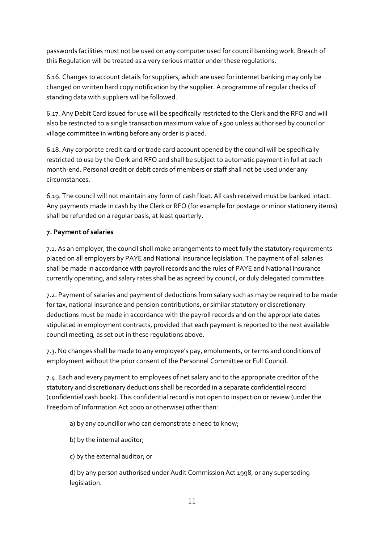passwords facilities must not be used on any computer used for council banking work. Breach of this Regulation will be treated as a very serious matter under these regulations.

6.16. Changes to account details for suppliers, which are used for internet banking may only be changed on written hard copy notification by the supplier. A programme of regular checks of standing data with suppliers will be followed.

6.17. Any Debit Card issued for use will be specifically restricted to the Clerk and the RFO and will also be restricted to a single transaction maximum value of £500 unless authorised by council or village committee in writing before any order is placed.

6.18. Any corporate credit card or trade card account opened by the council will be specifically restricted to use by the Clerk and RFO and shall be subject to automatic payment in full at each month-end. Personal credit or debit cards of members or staff shall not be used under any circumstances.

6.19. The council will not maintain any form of cash float. All cash received must be banked intact. Any payments made in cash by the Clerk or RFO (for example for postage or minor stationery items) shall be refunded on a regular basis, at least quarterly.

#### <span id="page-10-0"></span>**7. Payment of salaries**

7.1. As an employer, the council shall make arrangements to meet fully the statutory requirements placed on all employers by PAYE and National Insurance legislation. The payment of all salaries shall be made in accordance with payroll records and the rules of PAYE and National Insurance currently operating, and salary rates shall be as agreed by council, or duly delegated committee.

7.2. Payment of salaries and payment of deductions from salary such as may be required to be made for tax, national insurance and pension contributions, or similar statutory or discretionary deductions must be made in accordance with the payroll records and on the appropriate dates stipulated in employment contracts, provided that each payment is reported to the next available council meeting, as set out in these regulations above.

7.3. No changes shall be made to any employee's pay, emoluments, or terms and conditions of employment without the prior consent of the Personnel Committee or Full Council.

7.4. Each and every payment to employees of net salary and to the appropriate creditor of the statutory and discretionary deductions shall be recorded in a separate confidential record (confidential cash book). This confidential record is not open to inspection or review (under the Freedom of Information Act 2000 or otherwise) other than:

a) by any councillor who can demonstrate a need to know;

b) by the internal auditor;

c) by the external auditor; or

d) by any person authorised under Audit Commission Act 1998, or any superseding legislation.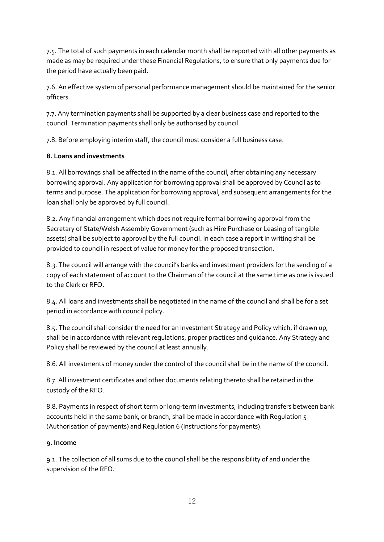7.5. The total of such payments in each calendar month shall be reported with all other payments as made as may be required under these Financial Regulations, to ensure that only payments due for the period have actually been paid.

7.6. An effective system of personal performance management should be maintained for the senior officers.

7.7. Any termination payments shall be supported by a clear business case and reported to the council. Termination payments shall only be authorised by council.

7.8. Before employing interim staff, the council must consider a full business case.

# **8. Loans and investments**

8.1. All borrowings shall be affected in the name of the council, after obtaining any necessary borrowing approval. Any application for borrowing approval shall be approved by Council as to terms and purpose. The application for borrowing approval, and subsequent arrangements for the loan shall only be approved by full council.

8.2. Any financial arrangement which does not require formal borrowing approval from the Secretary of State/Welsh Assembly Government (such as Hire Purchase or Leasing of tangible assets) shall be subject to approval by the full council. In each case a report in writing shall be provided to council in respect of value for money for the proposed transaction.

8.3. The council will arrange with the council's banks and investment providers for the sending of a copy of each statement of account to the Chairman of the council at the same time as one is issued to the Clerk or RFO.

8.4. All loans and investments shall be negotiated in the name of the council and shall be for a set period in accordance with council policy.

8.5. The council shall consider the need for an Investment Strategy and Policy which, if drawn up, shall be in accordance with relevant regulations, proper practices and guidance. Any Strategy and Policy shall be reviewed by the council at least annually.

8.6. All investments of money under the control of the council shall be in the name of the council.

8.7. All investment certificates and other documents relating thereto shall be retained in the custody of the RFO.

8.8. Payments in respect of short term or long-term investments, including transfers between bank accounts held in the same bank, or branch, shall be made in accordance with Regulation 5 (Authorisation of payments) and Regulation 6 (Instructions for payments).

# <span id="page-11-0"></span>**9. Income**

9.1. The collection of all sums due to the council shall be the responsibility of and under the supervision of the RFO.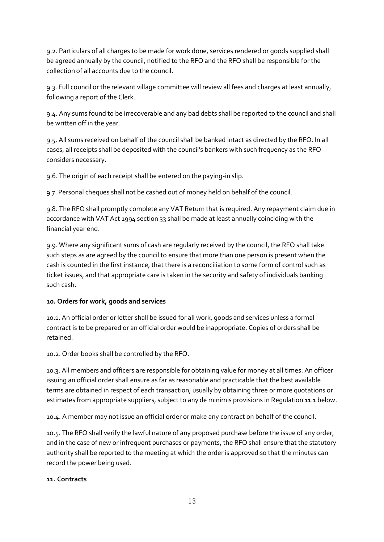9.2. Particulars of all charges to be made for work done, services rendered or goods supplied shall be agreed annually by the council, notified to the RFO and the RFO shall be responsible for the collection of all accounts due to the council.

9.3. Full council or the relevant village committee will review all fees and charges at least annually, following a report of the Clerk.

9.4. Any sums found to be irrecoverable and any bad debts shall be reported to the council and shall be written off in the year.

9.5. All sums received on behalf of the council shall be banked intact as directed by the RFO. In all cases, all receipts shall be deposited with the council's bankers with such frequency as the RFO considers necessary.

9.6. The origin of each receipt shall be entered on the paying-in slip.

9.7. Personal cheques shall not be cashed out of money held on behalf of the council.

9.8. The RFO shall promptly complete any VAT Return that is required. Any repayment claim due in accordance with VAT Act 1994 section 33 shall be made at least annually coinciding with the financial year end.

9.9. Where any significant sums of cash are regularly received by the council, the RFO shall take such steps as are agreed by the council to ensure that more than one person is present when the cash is counted in the first instance, that there is a reconciliation to some form of control such as ticket issues, and that appropriate care is taken in the security and safety of individuals banking such cash.

#### <span id="page-12-0"></span>**10. Orders for work, goods and services**

10.1. An official order or letter shall be issued for all work, goods and services unless a formal contract is to be prepared or an official order would be inappropriate. Copies of orders shall be retained.

10.2. Order books shall be controlled by the RFO.

10.3. All members and officers are responsible for obtaining value for money at all times. An officer issuing an official order shall ensure as far as reasonable and practicable that the best available terms are obtained in respect of each transaction, usually by obtaining three or more quotations or estimates from appropriate suppliers, subject to any de minimis provisions in Regulation 11.1 below.

10.4. A member may not issue an official order or make any contract on behalf of the council.

10.5. The RFO shall verify the lawful nature of any proposed purchase before the issue of any order, and in the case of new or infrequent purchases or payments, the RFO shall ensure that the statutory authority shall be reported to the meeting at which the order is approved so that the minutes can record the power being used.

#### <span id="page-12-1"></span>**11. Contracts**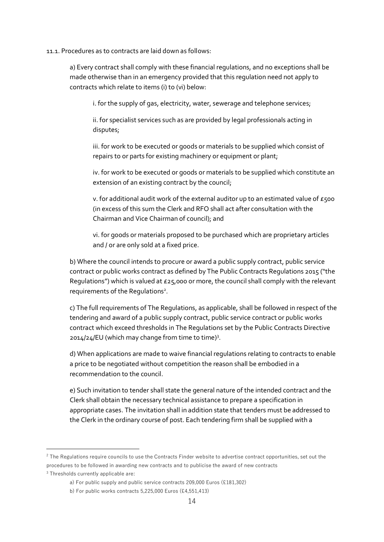#### 11.1. Procedures as to contracts are laid down as follows:

a) Every contract shall comply with these financial regulations, and no exceptions shall be made otherwise than in an emergency provided that this regulation need not apply to contracts which relate to items (i) to (vi) below:

i. for the supply of gas, electricity, water, sewerage and telephone services;

ii. for specialist services such as are provided by legal professionals acting in disputes;

iii. for work to be executed or goods or materials to be supplied which consist of repairs to or parts for existing machinery or equipment or plant;

iv. for work to be executed or goods or materials to be supplied which constitute an extension of an existing contract by the council;

v. for additional audit work of the external auditor up to an estimated value of  $\epsilon$ 500 (in excess of this sum the Clerk and RFO shall act after consultation with the Chairman and Vice Chairman of council); and

vi. for goods or materials proposed to be purchased which are proprietary articles and / or are only sold at a fixed price.

b) Where the council intends to procure or award a public supply contract, public service contract or public works contract as defined by The Public Contracts Regulations 2015 ("the Regulations") which is valued at £25,000 or more, the council shall comply with the relevant requirements of the Regulations<sup>2</sup>.

c) The full requirements of The Regulations, as applicable, shall be followed in respect of the tendering and award of a public supply contract, public service contract or public works contract which exceed thresholds in The Regulations set by the Public Contracts Directive 2014/24/EU (which may change from time to time)<sup>3</sup>.

d) When applications are made to waive financial regulations relating to contracts to enable a price to be negotiated without competition the reason shall be embodied in a recommendation to the council.

e) Such invitation to tender shall state the general nature of the intended contract and the Clerk shall obtain the necessary technical assistance to prepare a specification in appropriate cases. The invitation shall in addition state that tenders must be addressed to the Clerk in the ordinary course of post. Each tendering firm shall be supplied with a

<sup>&</sup>lt;sup>2</sup> The Regulations require councils to use the Contracts Finder website to advertise contract opportunities, set out the procedures to be followed in awarding new contracts and to publicise the award of new contracts <sup>3</sup> Thresholds currently applicable are:

a) For public supply and public service contracts 209,000 Euros (£181,302)

b) For public works contracts 5,225,000 Euros (£4,551,413)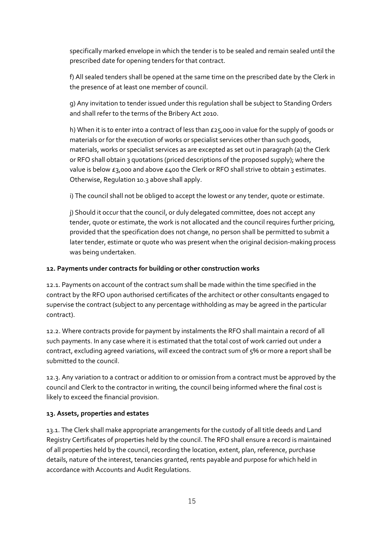specifically marked envelope in which the tender is to be sealed and remain sealed until the prescribed date for opening tenders for that contract.

f) All sealed tenders shall be opened at the same time on the prescribed date by the Clerk in the presence of at least one member of council.

g) Any invitation to tender issued under this regulation shall be subject to Standing Orders and shall refer to the terms of the Bribery Act 2010.

h) When it is to enter into a contract of less than £25,000 in value for the supply of goods or materials or for the execution of works or specialist services other than such goods, materials, works or specialist services as are excepted as set out in paragraph (a) the Clerk or RFO shall obtain 3 quotations (priced descriptions of the proposed supply); where the value is below  $\epsilon_3$ ,000 and above  $\epsilon_4$ 00 the Clerk or RFO shall strive to obtain 3 estimates. Otherwise, Regulation 10.3 above shall apply.

i) The council shall not be obliged to accept the lowest or any tender, quote or estimate.

j) Should it occur that the council, or duly delegated committee, does not accept any tender, quote or estimate, the work is not allocated and the council requires further pricing, provided that the specification does not change, no person shall be permitted to submit a later tender, estimate or quote who was present when the original decision-making process was being undertaken.

### <span id="page-14-0"></span>**12. Payments under contracts for building or other construction works**

12.1. Payments on account of the contract sum shall be made within the time specified in the contract by the RFO upon authorised certificates of the architect or other consultants engaged to supervise the contract (subject to any percentage withholding as may be agreed in the particular contract).

12.2. Where contracts provide for payment by instalments the RFO shall maintain a record of all such payments. In any case where it is estimated that the total cost of work carried out under a contract, excluding agreed variations, will exceed the contract sum of 5% or more a report shall be submitted to the council.

12.3. Any variation to a contract or addition to or omission from a contract must be approved by the council and Clerk to the contractor in writing, the council being informed where the final cost is likely to exceed the financial provision.

#### <span id="page-14-1"></span>**13. Assets, properties and estates**

13.1. The Clerk shall make appropriate arrangements for the custody of all title deeds and Land Registry Certificates of properties held by the council. The RFO shall ensure a record is maintained of all properties held by the council, recording the location, extent, plan, reference, purchase details, nature of the interest, tenancies granted, rents payable and purpose for which held in accordance with Accounts and Audit Regulations.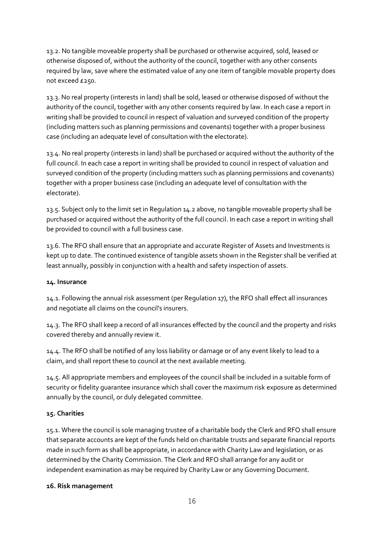13.2. No tangible moveable property shall be purchased or otherwise acquired, sold, leased or otherwise disposed of, without the authority of the council, together with any other consents required by law, save where the estimated value of any one item of tangible movable property does not exceed £250.

13.3. No real property (interests in land) shall be sold, leased or otherwise disposed of without the authority of the council, together with any other consents required by law. In each case a report in writing shall be provided to council in respect of valuation and surveyed condition of the property (including matters such as planning permissions and covenants) together with a proper business case (including an adequate level of consultation with the electorate).

13.4. No real property (interests in land) shall be purchased or acquired without the authority of the full council. In each case a report in writing shall be provided to council in respect of valuation and surveyed condition of the property (including matters such as planning permissions and covenants) together with a proper business case (including an adequate level of consultation with the electorate).

13.5. Subject only to the limit set in Regulation 14.2 above, no tangible moveable property shall be purchased or acquired without the authority of the full council. In each case a report in writing shall be provided to council with a full business case.

13.6. The RFO shall ensure that an appropriate and accurate Register of Assets and Investments is kept up to date. The continued existence of tangible assets shown in the Register shall be verified at least annually, possibly in conjunction with a health and safety inspection of assets.

# <span id="page-15-0"></span>**14. Insurance**

14.1. Following the annual risk assessment (per Regulation 17), the RFO shall effect all insurances and negotiate all claims on the council's insurers.

14.3. The RFO shall keep a record of all insurances effected by the council and the property and risks covered thereby and annually review it.

14.4. The RFO shall be notified of any loss liability or damage or of any event likely to lead to a claim, and shall report these to council at the next available meeting.

14.5. All appropriate members and employees of the council shall be included in a suitable form of security or fidelity guarantee insurance which shall cover the maximum risk exposure as determined annually by the council, or duly delegated committee.

# <span id="page-15-1"></span>**15. Charities**

15.1. Where the council is sole managing trustee of a charitable body the Clerk and RFO shall ensure that separate accounts are kept of the funds held on charitable trusts and separate financial reports made in such form as shall be appropriate, in accordance with Charity Law and legislation, or as determined by the Charity Commission. The Clerk and RFO shall arrange for any audit or independent examination as may be required by Charity Law or any Governing Document.

# <span id="page-15-2"></span>**16. Risk management**